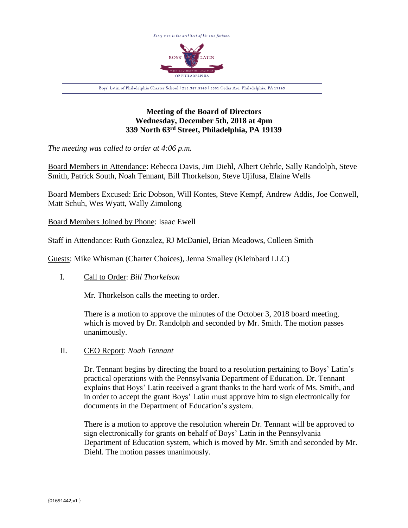

# **Meeting of the Board of Directors Wednesday, December 5th, 2018 at 4pm 339 North 63rd Street, Philadelphia, PA 19139**

*The meeting was called to order at 4:06 p.m.*

Board Members in Attendance: Rebecca Davis, Jim Diehl, Albert Oehrle, Sally Randolph, Steve Smith, Patrick South, Noah Tennant, Bill Thorkelson, Steve Ujifusa, Elaine Wells

Board Members Excused: Eric Dobson, Will Kontes, Steve Kempf, Andrew Addis, Joe Conwell, Matt Schuh, Wes Wyatt, Wally Zimolong

Board Members Joined by Phone: Isaac Ewell

Staff in Attendance: Ruth Gonzalez, RJ McDaniel, Brian Meadows, Colleen Smith

Guests: Mike Whisman (Charter Choices), Jenna Smalley (Kleinbard LLC)

I. Call to Order: *Bill Thorkelson*

Mr. Thorkelson calls the meeting to order.

There is a motion to approve the minutes of the October 3, 2018 board meeting, which is moved by Dr. Randolph and seconded by Mr. Smith. The motion passes unanimously.

II. CEO Report: *Noah Tennant*

Dr. Tennant begins by directing the board to a resolution pertaining to Boys' Latin's practical operations with the Pennsylvania Department of Education. Dr. Tennant explains that Boys' Latin received a grant thanks to the hard work of Ms. Smith, and in order to accept the grant Boys' Latin must approve him to sign electronically for documents in the Department of Education's system.

There is a motion to approve the resolution wherein Dr. Tennant will be approved to sign electronically for grants on behalf of Boys' Latin in the Pennsylvania Department of Education system, which is moved by Mr. Smith and seconded by Mr. Diehl. The motion passes unanimously.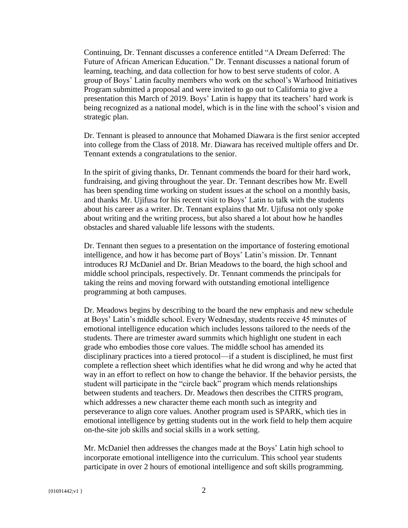Continuing, Dr. Tennant discusses a conference entitled "A Dream Deferred: The Future of African American Education." Dr. Tennant discusses a national forum of learning, teaching, and data collection for how to best serve students of color. A group of Boys' Latin faculty members who work on the school's Warhood Initiatives Program submitted a proposal and were invited to go out to California to give a presentation this March of 2019. Boys' Latin is happy that its teachers' hard work is being recognized as a national model, which is in the line with the school's vision and strategic plan.

Dr. Tennant is pleased to announce that Mohamed Diawara is the first senior accepted into college from the Class of 2018. Mr. Diawara has received multiple offers and Dr. Tennant extends a congratulations to the senior.

In the spirit of giving thanks, Dr. Tennant commends the board for their hard work, fundraising, and giving throughout the year. Dr. Tennant describes how Mr. Ewell has been spending time working on student issues at the school on a monthly basis, and thanks Mr. Ujifusa for his recent visit to Boys' Latin to talk with the students about his career as a writer. Dr. Tennant explains that Mr. Ujifusa not only spoke about writing and the writing process, but also shared a lot about how he handles obstacles and shared valuable life lessons with the students.

Dr. Tennant then segues to a presentation on the importance of fostering emotional intelligence, and how it has become part of Boys' Latin's mission. Dr. Tennant introduces RJ McDaniel and Dr. Brian Meadows to the board, the high school and middle school principals, respectively. Dr. Tennant commends the principals for taking the reins and moving forward with outstanding emotional intelligence programming at both campuses.

Dr. Meadows begins by describing to the board the new emphasis and new schedule at Boys' Latin's middle school. Every Wednesday, students receive 45 minutes of emotional intelligence education which includes lessons tailored to the needs of the students. There are trimester award summits which highlight one student in each grade who embodies those core values. The middle school has amended its disciplinary practices into a tiered protocol—if a student is disciplined, he must first complete a reflection sheet which identifies what he did wrong and why he acted that way in an effort to reflect on how to change the behavior. If the behavior persists, the student will participate in the "circle back" program which mends relationships between students and teachers. Dr. Meadows then describes the CITRS program, which addresses a new character theme each month such as integrity and perseverance to align core values. Another program used is SPARK, which ties in emotional intelligence by getting students out in the work field to help them acquire on-the-site job skills and social skills in a work setting.

Mr. McDaniel then addresses the changes made at the Boys' Latin high school to incorporate emotional intelligence into the curriculum. This school year students participate in over 2 hours of emotional intelligence and soft skills programming.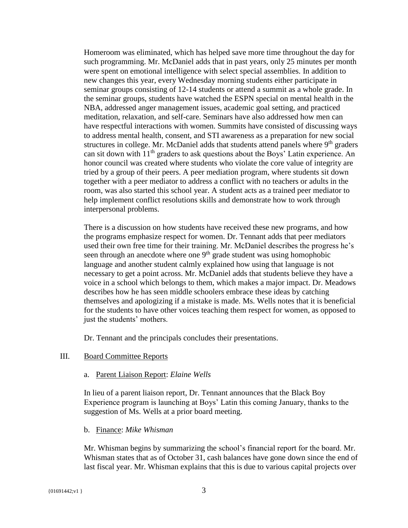Homeroom was eliminated, which has helped save more time throughout the day for such programming. Mr. McDaniel adds that in past years, only 25 minutes per month were spent on emotional intelligence with select special assemblies. In addition to new changes this year, every Wednesday morning students either participate in seminar groups consisting of 12-14 students or attend a summit as a whole grade. In the seminar groups, students have watched the ESPN special on mental health in the NBA, addressed anger management issues, academic goal setting, and practiced meditation, relaxation, and self-care. Seminars have also addressed how men can have respectful interactions with women. Summits have consisted of discussing ways to address mental health, consent, and STI awareness as a preparation for new social structures in college. Mr. McDaniel adds that students attend panels where  $9<sup>th</sup>$  graders can sit down with  $11<sup>th</sup>$  graders to ask questions about the Boys' Latin experience. An honor council was created where students who violate the core value of integrity are tried by a group of their peers. A peer mediation program, where students sit down together with a peer mediator to address a conflict with no teachers or adults in the room, was also started this school year. A student acts as a trained peer mediator to help implement conflict resolutions skills and demonstrate how to work through interpersonal problems.

There is a discussion on how students have received these new programs, and how the programs emphasize respect for women. Dr. Tennant adds that peer mediators used their own free time for their training. Mr. McDaniel describes the progress he's seen through an anecdote where one  $9<sup>th</sup>$  grade student was using homophobic language and another student calmly explained how using that language is not necessary to get a point across. Mr. McDaniel adds that students believe they have a voice in a school which belongs to them, which makes a major impact. Dr. Meadows describes how he has seen middle schoolers embrace these ideas by catching themselves and apologizing if a mistake is made. Ms. Wells notes that it is beneficial for the students to have other voices teaching them respect for women, as opposed to just the students' mothers.

Dr. Tennant and the principals concludes their presentations.

## III. Board Committee Reports

#### a. Parent Liaison Report: *Elaine Wells*

In lieu of a parent liaison report, Dr. Tennant announces that the Black Boy Experience program is launching at Boys' Latin this coming January, thanks to the suggestion of Ms. Wells at a prior board meeting.

#### b. Finance: *Mike Whisman*

Mr. Whisman begins by summarizing the school's financial report for the board. Mr. Whisman states that as of October 31, cash balances have gone down since the end of last fiscal year. Mr. Whisman explains that this is due to various capital projects over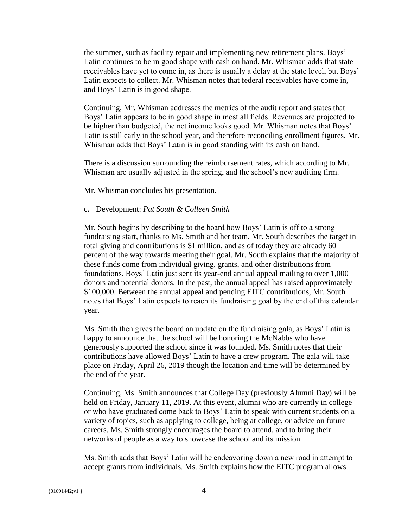the summer, such as facility repair and implementing new retirement plans. Boys' Latin continues to be in good shape with cash on hand. Mr. Whisman adds that state receivables have yet to come in, as there is usually a delay at the state level, but Boys' Latin expects to collect. Mr. Whisman notes that federal receivables have come in, and Boys' Latin is in good shape.

Continuing, Mr. Whisman addresses the metrics of the audit report and states that Boys' Latin appears to be in good shape in most all fields. Revenues are projected to be higher than budgeted, the net income looks good. Mr. Whisman notes that Boys' Latin is still early in the school year, and therefore reconciling enrollment figures. Mr. Whisman adds that Boys' Latin is in good standing with its cash on hand.

There is a discussion surrounding the reimbursement rates, which according to Mr. Whisman are usually adjusted in the spring, and the school's new auditing firm.

Mr. Whisman concludes his presentation.

### c. Development: *Pat South & Colleen Smith*

Mr. South begins by describing to the board how Boys' Latin is off to a strong fundraising start, thanks to Ms. Smith and her team. Mr. South describes the target in total giving and contributions is \$1 million, and as of today they are already 60 percent of the way towards meeting their goal. Mr. South explains that the majority of these funds come from individual giving, grants, and other distributions from foundations. Boys' Latin just sent its year-end annual appeal mailing to over 1,000 donors and potential donors. In the past, the annual appeal has raised approximately \$100,000. Between the annual appeal and pending EITC contributions, Mr. South notes that Boys' Latin expects to reach its fundraising goal by the end of this calendar year.

Ms. Smith then gives the board an update on the fundraising gala, as Boys' Latin is happy to announce that the school will be honoring the McNabbs who have generously supported the school since it was founded. Ms. Smith notes that their contributions have allowed Boys' Latin to have a crew program. The gala will take place on Friday, April 26, 2019 though the location and time will be determined by the end of the year.

Continuing, Ms. Smith announces that College Day (previously Alumni Day) will be held on Friday, January 11, 2019. At this event, alumni who are currently in college or who have graduated come back to Boys' Latin to speak with current students on a variety of topics, such as applying to college, being at college, or advice on future careers. Ms. Smith strongly encourages the board to attend, and to bring their networks of people as a way to showcase the school and its mission.

Ms. Smith adds that Boys' Latin will be endeavoring down a new road in attempt to accept grants from individuals. Ms. Smith explains how the EITC program allows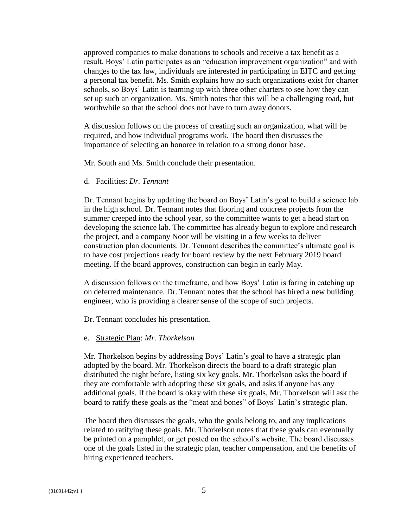approved companies to make donations to schools and receive a tax benefit as a result. Boys' Latin participates as an "education improvement organization" and with changes to the tax law, individuals are interested in participating in EITC and getting a personal tax benefit. Ms. Smith explains how no such organizations exist for charter schools, so Boys' Latin is teaming up with three other charters to see how they can set up such an organization. Ms. Smith notes that this will be a challenging road, but worthwhile so that the school does not have to turn away donors.

A discussion follows on the process of creating such an organization, what will be required, and how individual programs work. The board then discusses the importance of selecting an honoree in relation to a strong donor base.

Mr. South and Ms. Smith conclude their presentation.

## d. Facilities: *Dr. Tennant*

Dr. Tennant begins by updating the board on Boys' Latin's goal to build a science lab in the high school. Dr. Tennant notes that flooring and concrete projects from the summer creeped into the school year, so the committee wants to get a head start on developing the science lab. The committee has already begun to explore and research the project, and a company Noor will be visiting in a few weeks to deliver construction plan documents. Dr. Tennant describes the committee's ultimate goal is to have cost projections ready for board review by the next February 2019 board meeting. If the board approves, construction can begin in early May.

A discussion follows on the timeframe, and how Boys' Latin is faring in catching up on deferred maintenance. Dr. Tennant notes that the school has hired a new building engineer, who is providing a clearer sense of the scope of such projects.

Dr. Tennant concludes his presentation.

#### e. Strategic Plan: *Mr. Thorkelson*

Mr. Thorkelson begins by addressing Boys' Latin's goal to have a strategic plan adopted by the board. Mr. Thorkelson directs the board to a draft strategic plan distributed the night before, listing six key goals. Mr. Thorkelson asks the board if they are comfortable with adopting these six goals, and asks if anyone has any additional goals. If the board is okay with these six goals, Mr. Thorkelson will ask the board to ratify these goals as the "meat and bones" of Boys' Latin's strategic plan.

The board then discusses the goals, who the goals belong to, and any implications related to ratifying these goals. Mr. Thorkelson notes that these goals can eventually be printed on a pamphlet, or get posted on the school's website. The board discusses one of the goals listed in the strategic plan, teacher compensation, and the benefits of hiring experienced teachers.